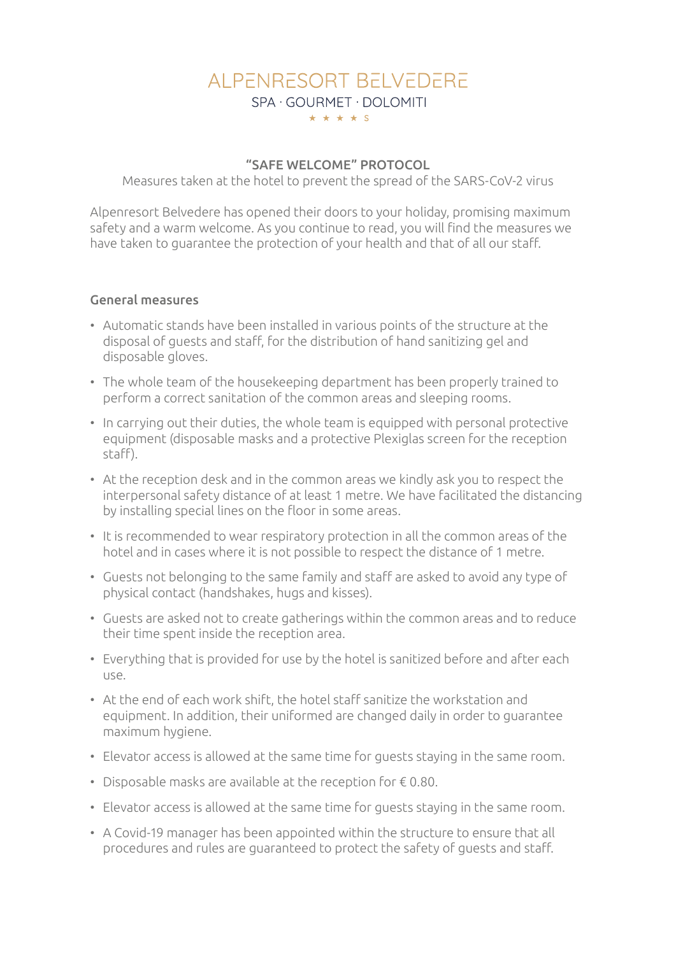# AI PENRESORT BEI VEDERE SPA · GOURMET · DOLOMITI \* \* \* \* \* S

### "SAFE WELCOME" PROTOCOL

Measures taken at the hotel to prevent the spread of the SARS-CoV-2 virus

Alpenresort Belvedere has opened their doors to your holiday, promising maximum safety and a warm welcome. As you continue to read, you will find the measures we have taken to guarantee the protection of your health and that of all our staff.

### General measures

- Automatic stands have been installed in various points of the structure at the disposal of guests and staff, for the distribution of hand sanitizing gel and disposable gloves.
- The whole team of the housekeeping department has been properly trained to perform a correct sanitation of the common areas and sleeping rooms.
- In carrying out their duties, the whole team is equipped with personal protective equipment (disposable masks and a protective Plexiglas screen for the reception staff).
- At the reception desk and in the common areas we kindly ask you to respect the interpersonal safety distance of at least 1 metre. We have facilitated the distancing by installing special lines on the floor in some areas.
- It is recommended to wear respiratory protection in all the common areas of the hotel and in cases where it is not possible to respect the distance of 1 metre.
- Guests not belonging to the same family and staff are asked to avoid any type of physical contact (handshakes, hugs and kisses).
- Guests are asked not to create gatherings within the common areas and to reduce their time spent inside the reception area.
- Everything that is provided for use by the hotel is sanitized before and after each use.
- At the end of each work shift, the hotel staff sanitize the workstation and equipment. In addition, their uniformed are changed daily in order to guarantee maximum hygiene.
- Elevator access is allowed at the same time for guests staying in the same room.
- Disposable masks are available at the reception for  $\epsilon$  0.80.
- Elevator access is allowed at the same time for guests staying in the same room.
- A Covid-19 manager has been appointed within the structure to ensure that all procedures and rules are guaranteed to protect the safety of guests and staff.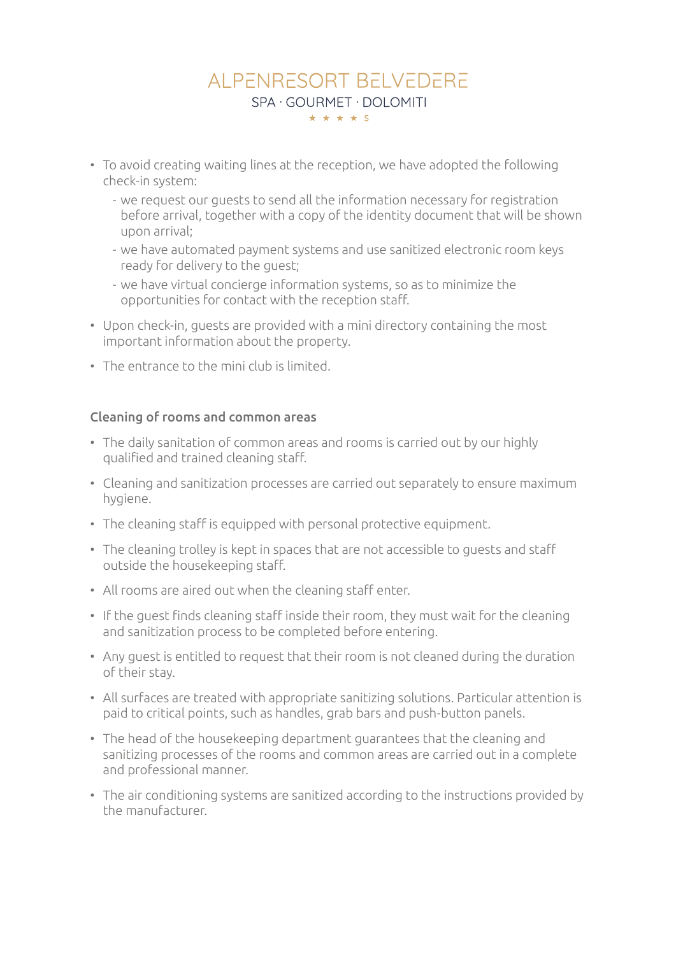# AI PENRESORT BEI VEDERE SPA · GOURMET · DOLOMITI \* \* \* \* \*

- To avoid creating waiting lines at the reception, we have adopted the following check-in system:
	- we request our guests to send all the information necessary for registration before arrival, together with a copy of the identity document that will be shown upon arrival;
	- we have automated payment systems and use sanitized electronic room keys ready for delivery to the guest;
	- we have virtual concierge information systems, so as to minimize the opportunities for contact with the reception staff.
- Upon check-in, guests are provided with a mini directory containing the most important information about the property.
- The entrance to the mini club is limited.

### Cleaning of rooms and common areas

- The daily sanitation of common areas and rooms is carried out by our highly qualified and trained cleaning staff.
- Cleaning and sanitization processes are carried out separately to ensure maximum hygiene.
- The cleaning staff is equipped with personal protective equipment.
- The cleaning trolley is kept in spaces that are not accessible to guests and staff outside the housekeeping staff.
- All rooms are aired out when the cleaning staff enter.
- If the guest finds cleaning staff inside their room, they must wait for the cleaning and sanitization process to be completed before entering.
- Any guest is entitled to request that their room is not cleaned during the duration of their stay.
- All surfaces are treated with appropriate sanitizing solutions. Particular attention is paid to critical points, such as handles, grab bars and push-button panels.
- The head of the housekeeping department guarantees that the cleaning and sanitizing processes of the rooms and common areas are carried out in a complete and professional manner.
- The air conditioning systems are sanitized according to the instructions provided by the manufacturer.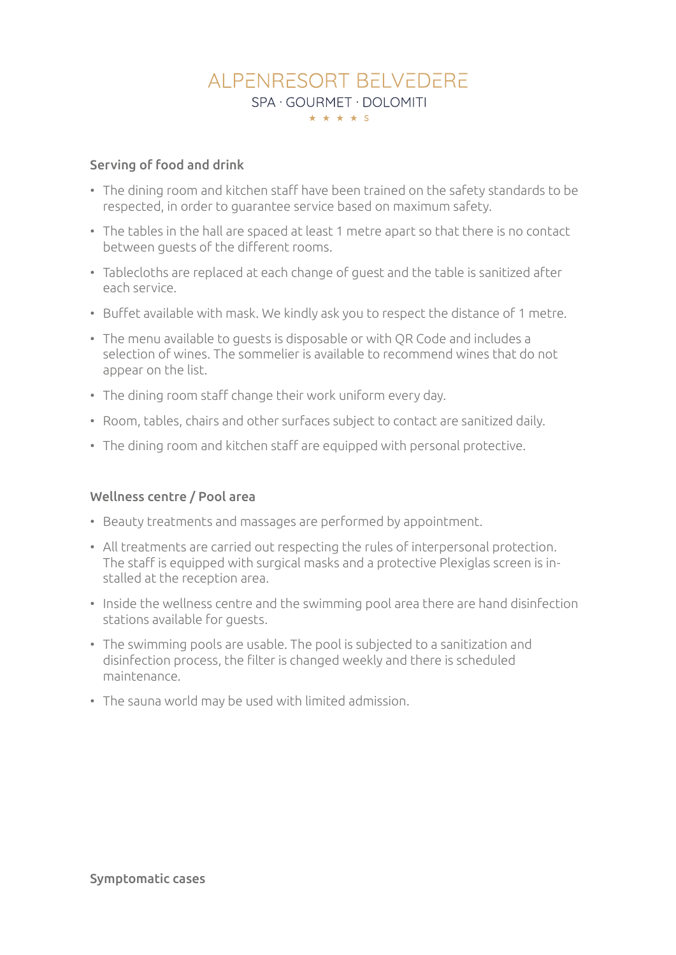# AI PENRESORT BEI VEDERE SPA · GOURMET · DOLOMITI \* \* \* \* \* S

### Serving of food and drink

- The dining room and kitchen staff have been trained on the safety standards to be respected, in order to guarantee service based on maximum safety.
- The tables in the hall are spaced at least 1 metre apart so that there is no contact between guests of the different rooms.
- Tablecloths are replaced at each change of guest and the table is sanitized after each service.
- Buffet available with mask. We kindly ask you to respect the distance of 1 metre.
- The menu available to guests is disposable or with QR Code and includes a selection of wines. The sommelier is available to recommend wines that do not appear on the list.
- The dining room staff change their work uniform every day.
- Room, tables, chairs and other surfaces subject to contact are sanitized daily.
- The dining room and kitchen staff are equipped with personal protective.

#### Wellness centre / Pool area

- Beauty treatments and massages are performed by appointment.
- All treatments are carried out respecting the rules of interpersonal protection. The staff is equipped with surgical masks and a protective Plexiglas screen is installed at the reception area.
- Inside the wellness centre and the swimming pool area there are hand disinfection stations available for guests.
- The swimming pools are usable. The pool is subjected to a sanitization and disinfection process, the filter is changed weekly and there is scheduled maintenance.
- The sauna world may be used with limited admission.